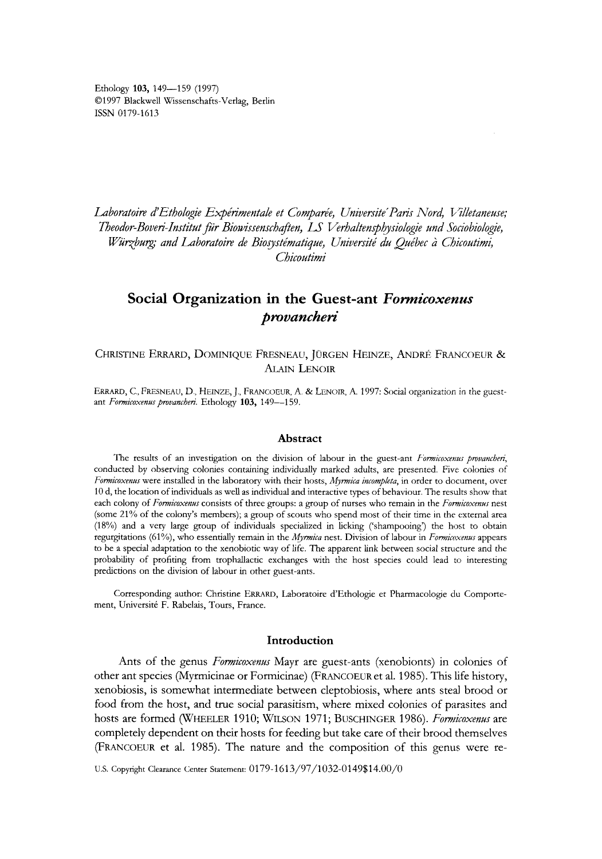Ethology 103, 149-159 (1997) 01997 Blackwell Wissenschafts-Verlag, Berlin ISSN 0179-1613

Laboratoire d'Ethologie Expérimentale et Comparée, Universite' Paris Nord, Villetaneuse; *7Eeodor-Boveri-hstitut fir Biowissenschaften, Ls Verhaltemp&iologie und Sociobiologie, Würzburg; and Laboratoire de Biosystématique, Université du Québec à Chicoutimi, Chicoutimi* 

# **Social Organization in the Guest-ant** *Formicoxenus pmuanchevi*

CHRISTINE ERRARD, DOMINIQUE FRESNEAU, JÜRGEN HEINZE, ANDRÉ FRANCOEUR & **ALAIN LENOIR** 

ERRARD, C., FRESNEAU, D., HEINZE, J., FRANCOEUR, A. & LENOIR, A. 1997: Social organization in the guestant Formicoxenus provancheri. Ethology 103, 149--159.

### **Abstract**

The results of an investigation on the division of labour in the guest-ant *Fomicoxemr pmvancheri,*  conducted by observing colonies containing individually marked adults, are presented. Five colonies of *Fomicoxenus* were installed in the laboratory with their hosts, *Mymica incomphta,* in order to document, over 10 d, the location of individuals as well as individual and interactive types of behaviour. The results show that each colony of *Formicoxenus* consists of three groups: a group of nurses who remain in the *Formicoxenus* nest (some 21% of the colony's members); a group of scouts who spend most of their time in the external area (18%) and a very large group of individuals speciahzed in licking ('shampooing') the host to obtain regurgitations (61%), who essentially remain in the *Mymica* nest. Division of labour in *Fomicoxenus* appears to be a special adaptation to the xenobiotic way of life. The apparent **link** between social structure and the probability of profiting from trophallactic exchanges with the host species could lead *to* interesting predictions on the division of labour in other guest-ants.

Corresponding author: Christine ERRARD, Laboratoire d'Ethologie et Pharmacologie du Comportement, Université F. Rabelais, Tours, France.

## **Introduction**

Ants of the genus *Formicoxems* Mayr are guest-ants (xenobionts) in colonies of other ant species (Myrmicinae or Formicinae) (FRANCOEUR et al. 1985). This life history, xenobiosis, is somewhat intermedate between cleptobiosis, where ants steal brood or food from the host, and **true** social parasitism, where mixed colonies of parasites and hosts are formed (WHEELER 1910; WILSON 1971; BUSCHINGER 1986). *Fomicoxenus* are completely dependent on their hosts for feeding but take care of their brood themselves (FRANCOEUR et **al.** 1985). The nature and the composition of this genus were re-

U.S. Copyright Clearance Center Statement: 0179-1613/97/1032-0149\$14.00/0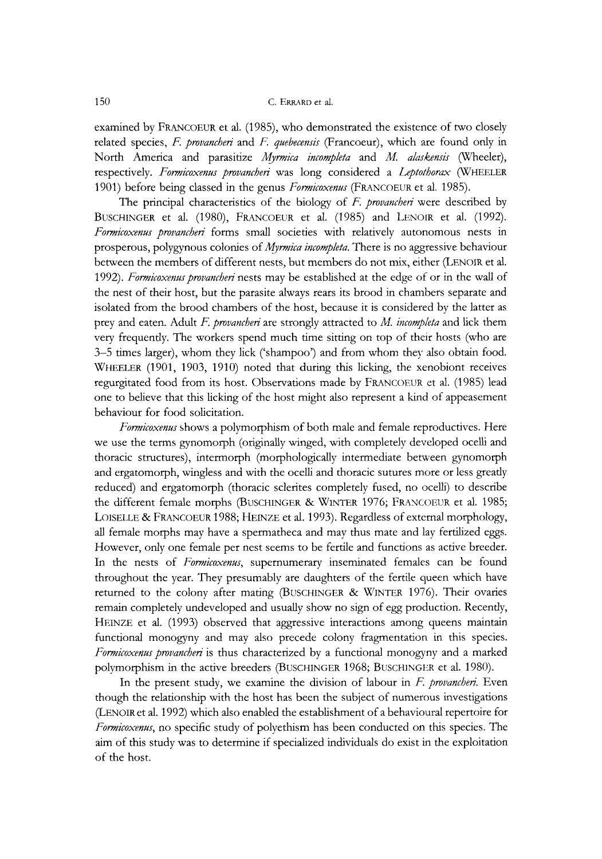examined by FRANCOEUR et al. (1985), who demonstrated the existence of two closely related species, *F. provancheri* and *F. quebecensis* (Francoeur), which are found only in North America and parasitize *Mymica incompleta* and *M. aluskensis* (Wheeler), respectively. Formicoxenus provancheri was long considered a *Leptothorax* (WHEELER 1901) before being classed in the genus *Fomicoxenus* (FRANCOEUR et al. 1985).

The principal characteristics of the biology of *F. pmuancberi* were described by BUSCHINGER et al. (1980), FRANCOEUR et al. (1985) and LENOIR et al. (1992). *Fomicoxenus pmvancberi* forms small societies with relatively autonomous nests in prosperous, polygynous colonies of *Myrmica incompleta*. There is no aggressive behaviour between the members of different nests, but members do not *mix,* either (LENOIR et al. 1992). *Formicoxenus provancheri* nests may be established at the edge of or in the wall of the nest of their host, but the parasite always rears its brood in chambers separate and isolated from the brood chambers of the host, because it is considered by the latter as prey and eaten. Adult *F. provancheri* are strongly attracted to *M. incompleta* and lick them very frequently. The workers spend much time sitting on top of their hosts (who are 3-5 times larger), whom they lick ('shampoo') and from whom they also obtain food. WHEELER (1901, 1903, 1910) noted that during this licking, the xenobiont receives regurgitated food from its host. Observations made by FRANCOEUR et al. (1985) lead one to believe that this licking of the host might also represent a kind of appeasement behaviour for food solicitation.

*Fomicoxenus* shows a polymorphism of both male and female reproductives. Here we use the terms gynomorph (originally winged, with completely developed ocelli and thoracic structures), intermorph (morphologically intermedate between gynomorph and ergatomorph, wingless and with the ocelli and thoracic sutures more or less greatly reduced) and ergatomorph (thoracic sclerites completely fused, no ocelli) to describe the different female morphs (BUSCHINGER & WINTER 1976; FRANCOEUR et al. 1985; LOISELLE & FRANCOEUR 1988; HEINZE et al. 1993). Regardless of external morphology, all female morphs may have a spermatheca and may thus mate and lay fertilized eggs. However, only one female per nest seems to be fertile and functions as active breeder. In the nests of *Fomicoxenus,* supernumerary inseminated females can be found throughout the year. They presumably are daughters of the fertile queen which have returned to the colony after mating (BUSCHINGER & WINTER 1976). Their ovaries remain completely undeveloped and usually show no sign of egg production. Recently, HEINZE et al. (1993) observed that aggressive interactions among queens maintain functional monogyny and may also precede colony fragmentation in this species. *Fomicoxenus pmvancben'* is thus characterized by a functional monogyny and a marked polymorphism in the active breeders (BUSCHINGER 1968; BUSCHINGER et al. 1980).

In the present study, we examine the division of labour in *F. provuncberi* Even though the relationship with the host has been the subject of numerous investigations (LENOIRet al. 1992) which also enabled the establishment of a behavioural repertoire for *Fomicoxenus,* no specific study of polyethism has been conducted on this species. The aim of this study was to determine if specialized individuals do exist in the exploitation of the host.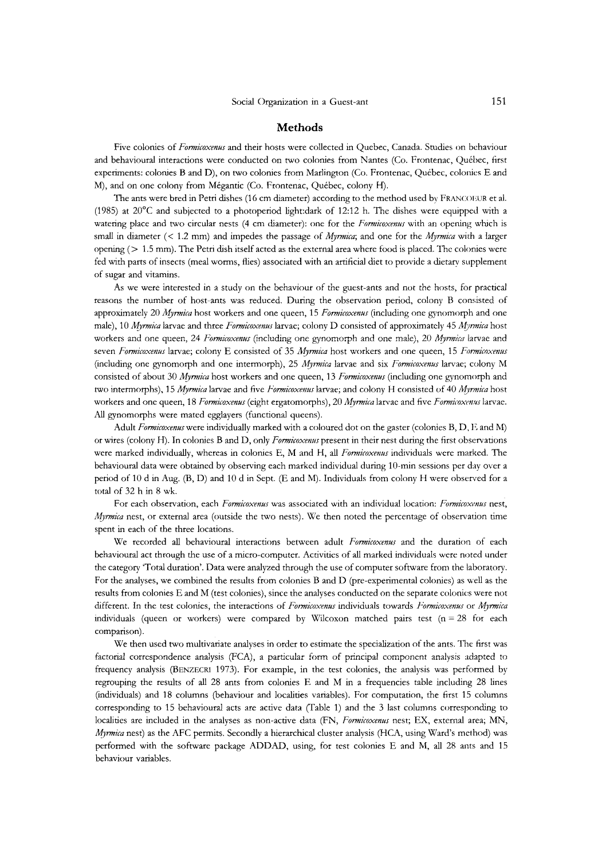### **Methods**

Five colonies of *Fomicoxenus* and their hosts were collected in Quebec, Canada. Studies on behaviour and behavioural interactions were conducted on two colonies from Nantes (Co. Frontenac, Québec, first experiments: colonies B and D), on two colonies from Marlington (Co. Frontenac, Quebec, colonies E. and M), and on one colony from Mégantic (Co. Frontenac, Québec, colony H).

The ants were bred in Petri dishes (16 cm diameter) according to the method used by FRANCOEUR et al. (1985) at 20°C and subjected to a photoperiod light:dark of 12:12 h. The dishes were equipped with a watering place and two circular nests (4 cm diameter): one for the *Famicoxenus* with an opening whch is small in diameter (< 1.2 mm) and impedes the passage of *Myrmica*; and one for the *Myrmica* with a larger opening (> 1.5 mm). The Petri dish itself acted as the external area where food is placed. The colonies were fed with parts of insects (meal worms, flies) associated with an artificial diet to provide a dietary supplement of sugar and vitamins.

**As** we were interested in a study on the behaviour of the guest-ants and not the hosts, for practical reasons the number of host-ants was reduced. During the observation period, colony B consisted of approximately 20 *Mymica* host workers and one queen, 15 *Famicoxenus* (including one gynomorph and one male), 10 *Myrmica* larvae and three *Formicoxenus* larvae; colony D consisted of approximately 45 *Myrmica* host workers and one queen, 24 *Fotmzcoxends* (including one gynomorph and one male), 20 *Mymica* larvae and seven *Formicoxenus* larvae; colony E consisted of 35 *Myrmica* host workers and one queen, 15 *Fimicnxenus*  (including one gynomorph and one intermorph), 25 *Mymica* larvae and six *Formicoxenus* larvae; colony M consisted of about 30 *Mymica* host workers and one queen, 13 *Famicoxenus* (includmg one gynomorph and two intermorphs), 15 *Myrmica* larvae and five *Formicoxenus* larvae; and colony H consisted of 40 *Myrmica* host workers and one queen, 18 *Formicoxenus* (eight ergatomorphs), 20 *Myrmica* larvae and five *Formicoxenus* larvae. All gynomorphs were mated egglayers (functional queens).

Adult *Famicoxenus* were individually marked with a coloured dot on the gaster (colonies B, D. **1'** and **hf)**  or wires (colony H). In colonies B and D, only *Formicoxenus* present in their nest during the first observations were marked individually, whereas in colonies E, M and H, **all** *Famicoxenus* individuals were marked. The behavioural data were obtained by observing each marked individual during 10-min sessions per day over a period of 10 d in Aug. (B, D) and 10 d in Sept. (E and M). Individuals from colony H were observed for a total of 32 h in 8 wk.

For each observation, each *Formicoxenus* was associated with an individual location: *Formicoxenus* nest, *Myrmica* nest, or external area (outside the two nests). We then noted the percentage of observation time spent in each of the three locations.

We recorded all behavioural interactions between adult *Formicoxenus* and the duration of each behavioural act through the use of a micro-computer. Activities of **all** marked individuals were noted under the category 'Total duration'. Data were analyzed through the use of computer software from the laboratory. For the analyses, we combined the results from colonies  $B$  and  $D$  (pre-experimental colonies) as well as the results from colonies E and M (test colonies), since the analyses conducted on the separate colonics were not different. In the test colonies, the interactions of *Fomicoxenus* individuals towards *Formicoxenus* or *Mymica*  mdwiduals (queen **or** workers) were compared by Wilcoxon matched pairs test (n = 28 for each comparison).

We then used two multivariate analyses in order to estimate the specialization of the ants. The first was factorial correspondence analysis **(FCA),** a particular form of principal component analysis adapted to frequency analysis (BENZECRI 1973). For example, in the test colonies, the analysis was performed by regrouping the results of all 28 ants from colonies E and M in a frequencies table including 28 lines (individuals) and 18 columns (behaviour and localities variables). For computation, the tirst 15 columns corresponding to 15 behavioural acts are active data (Table 1) and the *3* last columns correspondmg to localities are included in the analyses as non-active data (FN, *Famicoxenus* nest; EX, external area; MN, *Myrmica* nest) as the AFC permits. Secondly a hierarchical cluster analysis (HCA, using Ward's method) was performed with the software package ADDAD, using, for test colonies E and M, **all** 28 ants and 15 behaviour variables.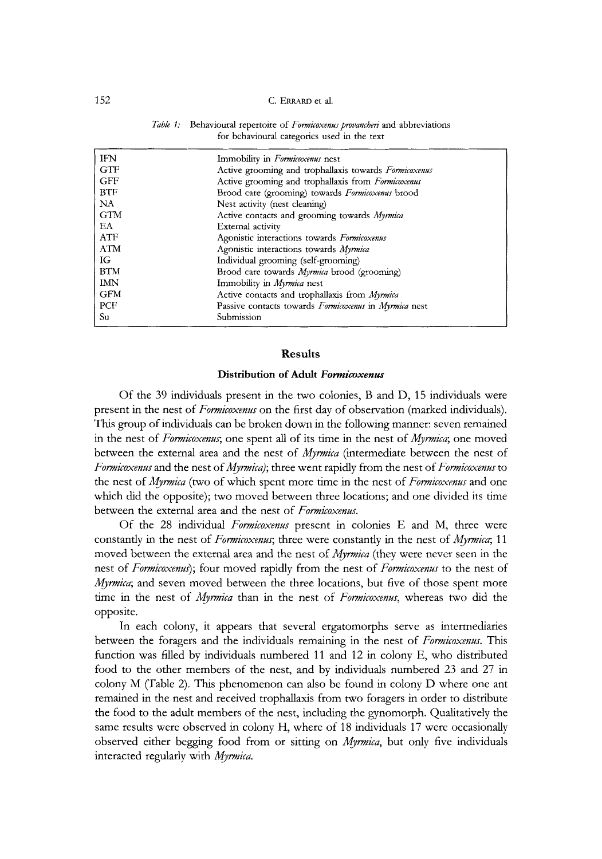152 C. ERRARD et al.

*Table 1:* Behavioural repertoire of *Formicoxenus provancheri* and abbreviations for behavioural categories used in the text

| IFN        | Immobility in Formicoxenus nest                         |
|------------|---------------------------------------------------------|
| <b>GTF</b> | Active grooming and trophallaxis towards Formicoxenus   |
| GFF        | Active grooming and trophallaxis from Formicoxenus      |
| <b>BTF</b> | Brood care (grooming) towards <i>Formicoxenus</i> brood |
| NA.        | Nest activity (nest cleaning)                           |
| <b>GTM</b> | Active contacts and grooming towards Myrmica            |
| EA         | External activity                                       |
| ATF        | Agonistic interactions towards Formicoxenus             |
| <b>ATM</b> | Agonistic interactions towards Myrmica                  |
| IG         | Individual grooming (self-grooming)                     |
| <b>BTM</b> | Brood care towards <i>Myrmica</i> brood (grooming)      |
| IMN        | Immobility in <i>Myrmica</i> nest                       |
| <b>GFM</b> | Active contacts and trophallaxis from Myrmica           |
| PCF        | Passive contacts towards Formicoxenus in Myrmica nest   |
| Su         | Submission                                              |

## **Results**

# **Distribution of Adult Formicoxenus**

Of the 39 individuals present in the two colonies, B and D, 15 individuals were present in the nest of *Fomicoxenus* on the first day of observation (marked individuals). This group of individuals can be broken down in the following manner: seven remained in the nest of *Fomicoxenuq* one spent ali of its time in the nest of *Mymica;* one moved between the external area and the nest of *Mymica* (intermediate between the nest of *Fomicoxenzrs* and the nest of *Mymica);* three went rapidly from the nest of *Formicoxenus* to the nest of *Myrmica* (two of which spent more time in the nest of *Formicoxenus* and one which did the opposite); two moved between three locations; and one divided its time between the external area and the nest of *Fomicoxenus.* 

Of the 28 individual *Fomicoxenus* present in colonies E and M, three were constantly in the nest of *Formicoxenus*; three were constantly in the nest of *Myrmica*; 11 moved between the external area and the nest of *Mymica* (they were never seen in the nest of *Formicoxenus*); four moved rapidly from the nest of *Formicoxenus* to the nest of *Myrmica*; and seven moved between the three locations, but five of those spent more time in the nest of *Mymica* than in the nest of *Formicoxenus,* whereas two did the opposite.

In each colony, it appears that several ergatomorphs serve as intermediaries between the foragers and the individuals remaining in the nest of *Formicoxenus.* This function was filled by individuals numbered 11 and 12 in colony E, who distributed food to the other members of the nest, and by individuals numbered 23 and 27 in colony M Fable 2). This phenomenon can also be found in colony D where one ant remained in the nest and received trophallaxis from two foragers in order to distribute the food to the adult members of the nest, inciudmg the gynomorph. Qualitatively the same results were observed in colony H, where of 18 individuals 17 were occasionally observed either begging food from or sitting on *Myrmica*, but only five individuals interacted regularly with *Mymica.*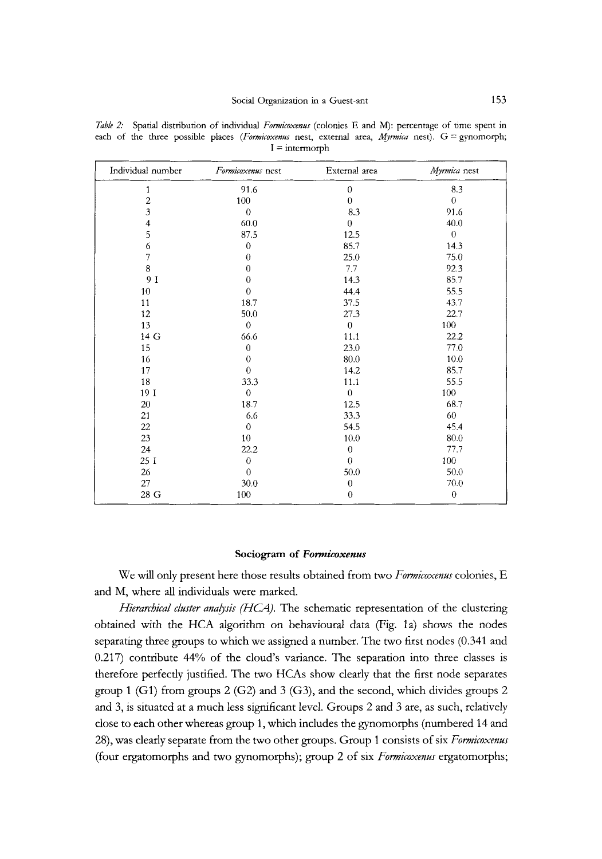| Individual number       | Formicoxenus nest | External area    | Myrmica nest |  |
|-------------------------|-------------------|------------------|--------------|--|
| 1                       | 91.6              | $\mathbf{0}$     | 8.3          |  |
| $\overline{\mathbf{c}}$ | 100               | $\overline{0}$   | $\bf{0}$     |  |
| $\overline{\mathbf{3}}$ | $\theta$          | 8.3              | 91.6         |  |
| $\overline{\mathbf{4}}$ | 60.0              | $\theta$         | 40.0         |  |
| 5                       | 87.5              | 12.5             | $\mathbf{0}$ |  |
| 6                       | $\theta$          | 85.7             | 14.3         |  |
| 7                       | $\theta$          | 25.0             | 75.0         |  |
| $\,8\,$                 | $\theta$          | 7.7              | 92.3         |  |
| 9 I                     | $\theta$          | 14.3             | 85.7         |  |
| 10                      | $\theta$          | 44.4             | 55.5         |  |
| 11                      | 18.7              | 37.5             | 43.7         |  |
| 12                      | 50.0              | 27.3             | 22.7         |  |
| 13                      | $\theta$          | $\theta$         | 100          |  |
| 14 G                    | 66.6              | 11.1             | 22.2         |  |
| 15                      | $\overline{0}$    | 23.0             | 77.0         |  |
| 16                      | $\theta$          | 80.0             | 10.0         |  |
| 17                      | $\mathbf{0}$      | 14.2             | 85.7         |  |
| 18                      | 33.3              | 11.1             | 55.5         |  |
| 19 I                    | $\theta$          | $\theta$         | 100          |  |
| 20                      | 18.7              | 12.5             | 68.7         |  |
| 21                      | 6.6               | 33.3             | 60           |  |
| 22                      | $\theta$          | 54.5             | 45.4         |  |
| 23                      | 10                | 10.0             | 80.0         |  |
| 24                      | 22.2              | $\boldsymbol{0}$ | 77.7         |  |
| 25 I                    | $\theta$          | $\theta$         | 100          |  |
| 26                      | $\theta$          | 50.0             | 50.0         |  |
| 27                      | 30.0              | $\bf{0}$         | 70.0         |  |
| 28 G                    | 100               | $\bf{0}$         | $\theta$     |  |

*Table 2:* Spatial distribution of indwidual *Fomicoxenw* (colonies E and M): percentage of **ume** spent in each of the three possible places *(Formicoxenus* nest, external area, *Mymicu* nest). *G* = gymmorph;  $I =$  intermorph

#### **Sociogram of** *Formicoxenus*

We will only present here those results obtained from two *Formicoxenus* colonies, E and M, where all indwiduals were marked.

*Hierarchical cluster analysis (HCA)*. The schematic representation of the clustering obtained with the HCA algorithm on behavioural data (Fig. la) shows the nodes separating three groups to which we assigned a number. The two first nodes (0.341 and 0.217) contribute 44% of the cloud's variance. The separation into three classes is therefore perfectly justified. The two HCAs show clearly that the first node separates group 1 (Gl) from groups 2 (G2) and 3 (G3), and the second, which divides groups 2 and 3, is situated at a much less significant level. Groups 2 and 3 are, as such, relatively close to each other whereas group 1, which includes the gynomorphs (numbered 14 and 28), was clearly separate from the two other groups. Group 1 consists of six *Formicoxenus*  (four ergatomorphs and two gynomorphs); group 2 of *six Formicoxenus* ergatomorphs;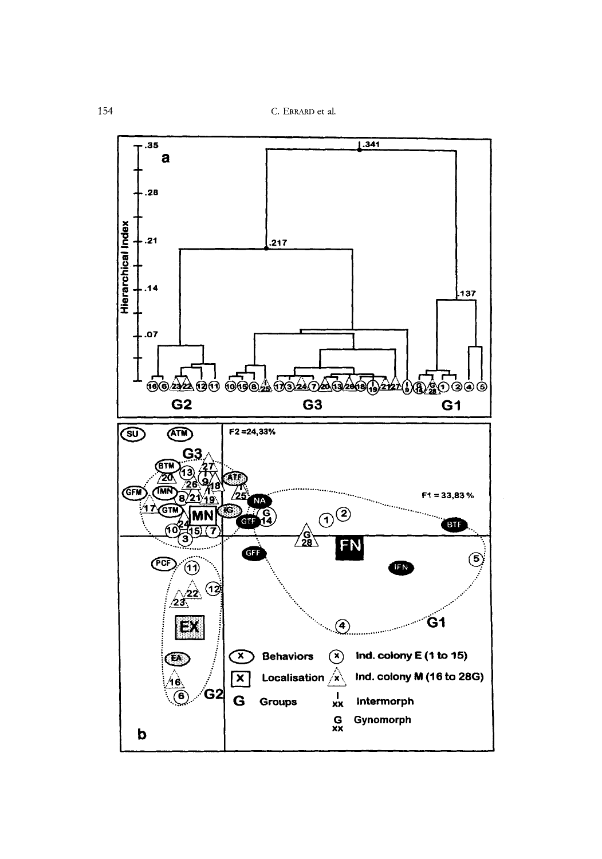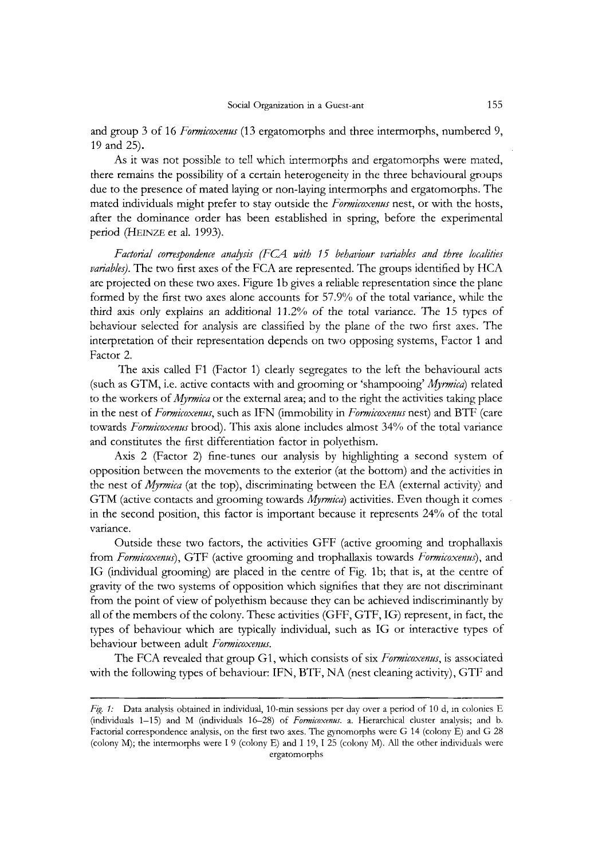and group 3 of 16 *Fomicoxenus* (13 ergatomorphs and three intermorphs, numbercd 9, 19 and 25).

As it was not possible to tell which intermorphs and ergatomorphs were mated, there remains the possibility of a certain heterogeneity in the three behavioural groups due to the presence of mated laying or non-laying intermorphs and ergatomorphs. The mated individuals might prefer to stay outside the *Fomicoxenus* nest, or with the hosts, after the dominance order has been established in spring, before the experimental period (HEINZE et a]. 1993).

Factorial correspondence analysis (FCA with 15 behaviour variables and three localities *variables).* The two first axes of the FCA are represented. The groups identified by HCA are projected on these two axes. Figure 1b gives a reliable representation since the plane formed by the first two axes alone accounts for 57.9% of the total variance, while the third axis only explains an additional 11.20/0 of the total variance. The 15 types of behaviour selected for analysis are classified by the plane of the two first axes. The interpretation of their representation depends on **two** opposing systems, Factor 1 and Factor 2.

The axis called F1 (Factor 1) clearly segregates to the left the behavioural acts (such as GTM, i.e. active contacts with and grooming or 'shampooing' *Mjmica)* related to the workers of *Mymica* or the external area; and to the right the activities taking place in the nest of *Fomicoxenus,* such as IFN (immobility in *Fomicoxenus* nest) and BTF (care towards *Fomicoxenus* brood). This axis alone includes almost 34% of the total variance and constitutes the first differentiation factor in polyethsm.

Axis 2 (Factor 2) fine-tunes our analysis by highlighting a second system of opposition between the movements to the exterior (at the bottom) and the activities in the nest of *Myrmica* (at the top), discriminating between the EA (external activity) and GTM (active contacts and grooming towards *Myrmica*) activities. Even though it comes in the second position, this factor is important because it represents 24% of the total variance.

Outside these two factors, the activities GFF (active grooming and trophallaxis from *Formicoxenus*), GTF (active grooming and trophallaxis towards *Formicoxenus*), and IG (individual grooming) are placed in the centre of Fig. lb; that is, at the centre of gravity of the two systems of opposition which signifies that they are not discriminant from the point of view of polyethism because they can be achieved indscriminantly by all of the members of the colony. These activities (GFF, GTF, IG) represent, in fact, the types of behaviour which are typically individual, such as IG or interactive types of behaviour between adult *Fomicoxenus.* 

The FCA revealed that group G1, which consists of *six Fomicoxenus,* is associated with the following types of behaviour: IFN, BTF, NA (nest cleaning activity), GTF and

*Fig. 1:* Data analysis obtained in individual, 10-min sessions per day over a period of 10 d, in colonies E (indwiduals 1-15) and M (individuals 16-28) of *Fomicoxenus.* a. Hierarchical cluster analysis; and b. Factorial correspondence analysis, on the first two axes. The gynomorphs were G 14 (colony E) and G 28 (colony M); the intermorphs were I 9 (colony E) and I 19, I 25 (colony M). All the other individuals were ergatomorphs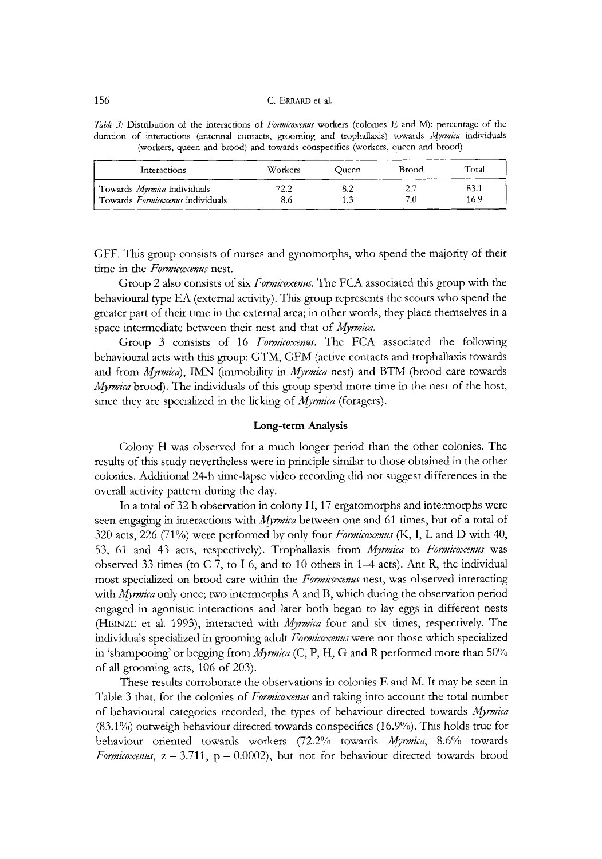#### 156 C. ERRARD et al.

Table 3: Distribution of the interactions of *Formicoxenus* workers (colonies E and M): percentage of the duration of interactions (antennal contacts, grooming and trophallaxis) towards Myrmica individuals (workers, queen and brood) and towards conspecifics (workers, queen and brood)

| Interactions                       | Workers | Oueen | <b>Brood</b> | Total |
|------------------------------------|---------|-------|--------------|-------|
| Towards <i>Myrmica</i> individuals | 72.2    |       |              | 83.   |
| Towards Formicoxenus individuals   | 8.6     |       |              | 16.9  |

GFF. This group consists of nurses and gynomorphs, who spend the majority of their time in the *Fomicoxenus* nest.

Group 2 also consists of *six Foomicoxenus.* The FCA associated this group with the behavioural type EA (external activity). This group represents the scouts who spend the greater part of their time in the external area; in other words, they place themselves in a space intermediate between their nest and that of *Mymica.* 

Group 3 consists of 16 *Formicoxenus*. The FCA associated the following behavioural acts with this group: GTM, GFM (active contacts and trophallaxis towards and from *Mymica),* IMN (immobility in *Mymica* nest) and BTM (brood care towards *Myrmica* brood). The individuals of this group spend more time in the nest of the host, since they are specialized in the licking of *Mymica* (foragers).

#### **Long-term Analysis**

Colony H was observed for a much longer period than the other colonies. The results of this study nevertheless were in principle similar to those obtained in the other colonies. Additional 24-h time-lapse video recording did not suggest differences in the overall activity pattern during the day.

In a total of 32 h observation in colony H, 17 ergatomorphs and intermorphs were seen engaging in interactions with *Mymica* between one and 61 times, but of a total of 320 acts, 226 (71%) were performed by only four *Formicoxenus* (K, 1, L arid D with 40, 53, 61 and 43 acts, respectively). Trophallaxis from *Mymica* to *Fomzcoxenus* was observed 33 times (to C 7, to I 6, and to 10 others in  $1-4$  acts). Ant R, the individual most specialized on brood care within the *Formicoxenus* nest, was observed interacting with *Mymica* only once; two intermorphs A and B, which during the observation period engaged in agonistic interactions and later both began to lay eggs in different nests (HEINZE et al. 1993), interacted with *Mymica* four and six times, respectively. The individuals specialized in grooming adult *Formicoxenus* were not those which specialized in 'shampooing' or begging from *Myrmica* (C, P, H, G and R performed more than 50% of **all** grooming acts, 106 of 203).

These results corroborate the observations in colonies E and M. It may be seen in Table 3 that, for the colonies of *Fomicoxenus* and taking into account the total number of behavioural categories recorded, the types of behaviour directed towards *Mymicd*   $(83.1\%)$  outweigh behaviour directed towards conspecifics  $(16.9\%)$ . This holds true for behaviour oriented towards workers (72.2% towards *Mymiica,* 8.6% towards *Formicoxenus,*  $z = 3.711$ ,  $p = 0.0002$ , but not for behaviour directed towards brood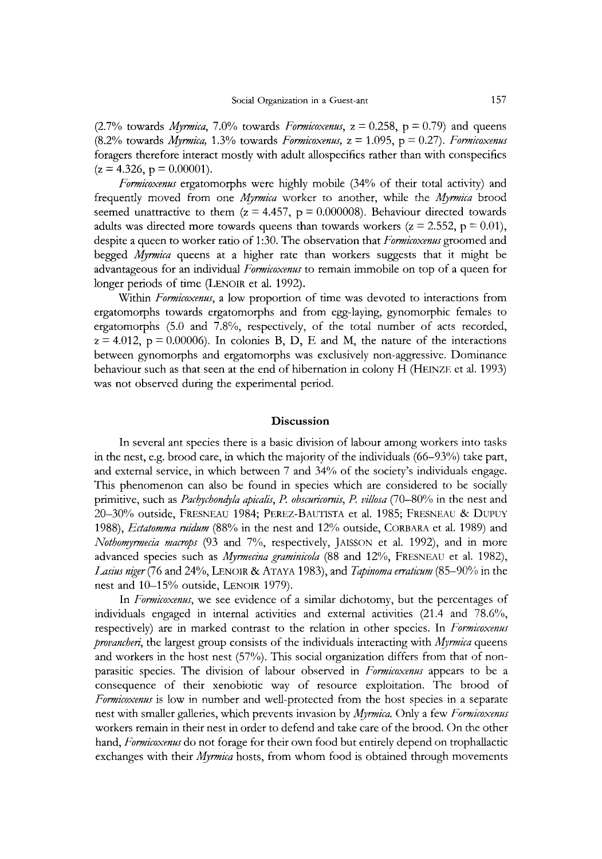$(2.7\%$  towards *Myrmica*, 7.0% towards *Formicoxenus*,  $z = 0.258$ ,  $p = 0.79$ ) and queens (8.2% towards *Mymica,* 1.3% towards *Formicoxenus,* z = 1.095, p = 0.27). *Formicoxenus*  foragers therefore interact mostly with adult allospecifics rather than with conspecifics  $(z = 4.326, p = 0.00001).$ 

*Formicoxenus* ergatomorphs were highly mobile (34% of their total activity) and frequently moved from one *Myrmica* worker to another, while the *Myrmica* brood seemed unattractive to them ( $z = 4.457$ ,  $p = 0.000008$ ). Behaviour directed towards adults was directed more towards queens than towards workers ( $z = 2.552$ ,  $p = 0.01$ ), despite a queen to worker ratio of 1 :30. The observation that *Fomicoxenus* groomed and begged *Mymica* queens at a higher rate than workers suggests that it might be advantageous for an individual *Fomicoxenus* to remain immobile on top of a queen for longer periods of time (LENOIR et al. 1992).

Within *Formicoxenus,* a low proportion of time was devoted to interactions from ergatomorphs towards ergatomorphs and from egg-laying, gynomorphic females to ergatomorphs (5.0 and 7.8%, respectively, of the total number of acts recorded,  $z = 4.012$ ,  $p = 0.00006$ ). In colonies B, D, E and M, the nature of the interactions between gynomorphs and ergatomorphs was exclusively non-aggressive. Dominance behaviour such as that seen at the end of hibernation in colony H (HEINZE et al. 1993) was not observed during the experimental period.

#### **Discussion**

In several ant species there is a basic division of labour among workers into tasks in the nest, e.g. brood care, in which the majority of the individuals *(66-93'Yo)* take part, and external service, in which between 7 and 34'/0 of the society's individuals engage. This phenomenon can also be found in species which are considered to be socially primitive, such as *Pachychondyla apicalis, P. obscuricornis, P. villosa* (70–80% in the nest and 20-30% outside, FRESNEAU 1984; PEREZ-BAUTISTA et al. 1985; FRESNEAU & DUPUY 1988), *Ectatomma midum* (88% in the nest and 12% outside, CORBARA et al. 1089) and *Nothomymecia mamops* (93 and 7%, respectively, JAISSON et al. 1992), and in more advanced species such as *Myrmecina graminicola* (88 and 12%, FRESNEAU et al. 1982), *Ikus n&er* (76 and 24%, LENOIR & ATAYA 1983), and *Tapinoma ertaticum* (85-90% in the nest and 10-15% outside, LENOIR 1979).

In *Fomicoxenus,* we see evidence of a similar dichotomy, but the percentages of individuals engaged in internal activities and external activities (21.4 and 78.6%, respectively) are in marked contrast to the relation in other species. In *Formicoxenus provancheri*, the largest group consists of the individuals interacting with *Myrmica* queens and workers in the host nest (57%). This social organization differs from that of nonparasitic species. The division of labour observed in *Fomicoxenus* appears to be a consequence of their xenobiotic way of resource exploitation. The brood of *Formicoxenus* is low in number and well-protected from the host species in a separate nest with smaller galleries, which prevents invasion by *Mymica.* Only a few *Fomiicoxenus*  workers remain in their nest in order to defend and take care of the brood. On the other hand, *Fomicoxenus* do not forage for their own food but entirely depend on trophallactic exchanges with their *Mymica* hosts, from whom food is obtained through movements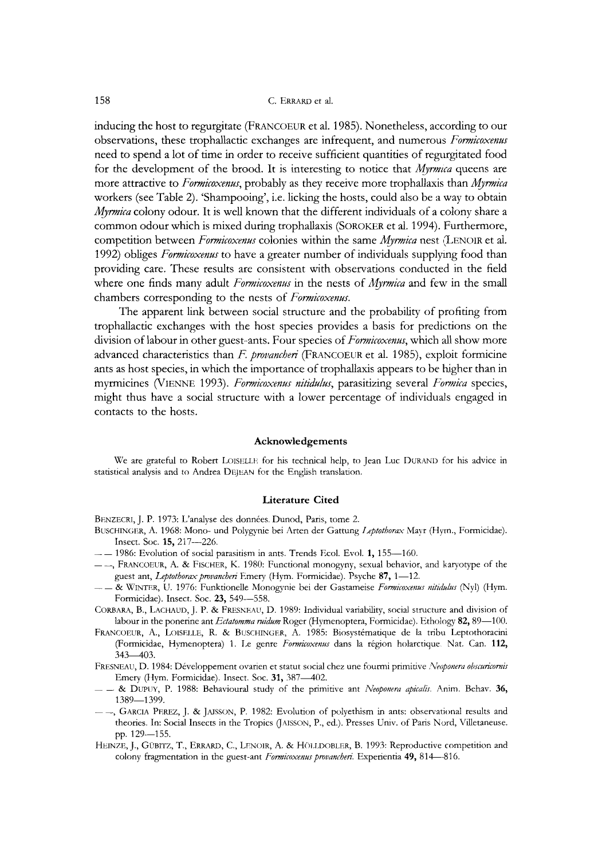inducing the host to regurgitate (FRANCOEUR et al. 1985). Nonetheless, according to our observations, these trophallactic exchanges are infrequent, and numerous *Formicoxenus* need to spend a lot of time in order to receive sufficient quantities of regurgitated food for the development of the brood. It is interesting to notice that *Mjmzca* queens are more attractive to *Fomicoxenus,* probably as they receive more trophallaxis than *Mymica*  workers (see Table 2). 'Shampooing', i.e. licking the hosts, could also be a way to obtain *Myrmica* colony odour. It is well known that the different individuals of a colony share a common odour which is mixed during trophallaxis (SOROKER et al. 1994). Furthermore, competition between *Formicoxenus* colonies within the same *Myrmica* nest (LENOIR et al. 1992) obliges *Fomicoxenus* to have a greater number of individuals supplying food than providmg care. These results are consistent with observations conducted in the field where one finds many adult *Fomicoxenus* in the nests of *Mymica* and few in the small chambers correspondmg to the nests of *Fomicoxenus.* 

The apparent **link** between social structure and the probability of profiting from trophallactic exchanges with the host species provides a basis for predictions on the division of labour in other guest-ants. Four species of *Formicoxenus*, which all show more advanced characteristics than *E provancberi* (FRANCOEUR et al. 1985), exploit formicine ants as host species, in which the importance of trophallaxis appears to be higher than in myrmicines (VIENNE 1993). *Fomicoxenus nitiduhs,* parasitizing several *Fomica* species, might thus have a social structure with a lower percentage of individuals engaged in contacts to the hosts.

#### **Acknowledgements**

We are grateful to Robert LOISELLE for his technical help, to Jean Luc DURAND for his advice in statistical analysis and to Andrea DEJEAN for the English translation.

#### **Literature Cited**

BENZECRI, J. P. 1973: L'analyse des données. Dunod, Paris, tome 2.

- BUSCHINGER, A. 1968: Mono- und Polygynie bei Arten der Gattung *I eptothorax* Mayr (Hym., Formicidae). Insect. Soc. 15, 217-226.
- \_\_ 1986: Evolution of social parasitism in ants. Trends Ecol. Evol. **1,** 155-160.
- $-$ , FRANCOEUR, A. & FISCHER, K. 1980: Functional monogyny, sexual behavior, and karyotype of the guest ant, *Leptothorax provancheri* Emery (Hym. Formicidae). Psyche 87, 1-12.
- -\_ & WINTER, U. 1976: Funktionelle hlonogynie bei der Gastameise *Fomzcuxenus nitidnlus* (Nyl) (Hym. Formicidae). Insect. Soc. **23,** 549-558.
- CORBARA, B., LACHAUD, J. P. & FRESNEAU, D. 1989: Individual variability, social structure and division of labour in the ponerine ant *Ectatomma ruidum* Roger (Hymenoptera, Formicidae). Ethology 82, 89-100.
- FRANCOEUR, A., LOISELLE, R. & BUSCHINGER, A. 1985: Biosystématique de la tribu Leptothoracini (Formicidae, Hymenoptera) 1. Le genre *Formicoxenus* dans la région holarctique. Nat. Can. 112, 343 403.
- FRESNEAU, D. 1984: Développement ovarien et statut social chez une fourmi primitive *Neoponera obscuricornis* Emery (Hym. Formicidae). Insect. Soc. 31, 387-402.
- \_\_ & DuP~~Y, P. 1988: Behavioural study of the primitive ant *Neupuncru upiculis.* him. Behav. **36,**  1389-1399.
- --, GARCIA PEREZ, J. & JAISSON, P. 1982: Evolution of polyethism in ants: observational results and theories. In: Social Insects in the Tropics (JAISSON, P., ed.). Presses Umv. of Paris Nod, Villetaneuse. pp. 129-155.
- HEINZE, J., GÜBITZ, T., ERRARD, C., LENOIR, A. & HÖLLDOBLER, B. 1993: Reproductive competition and colony fragmentation in the guest-ant *Formicoxenus provancheri*. Experientia 49, 814-816.